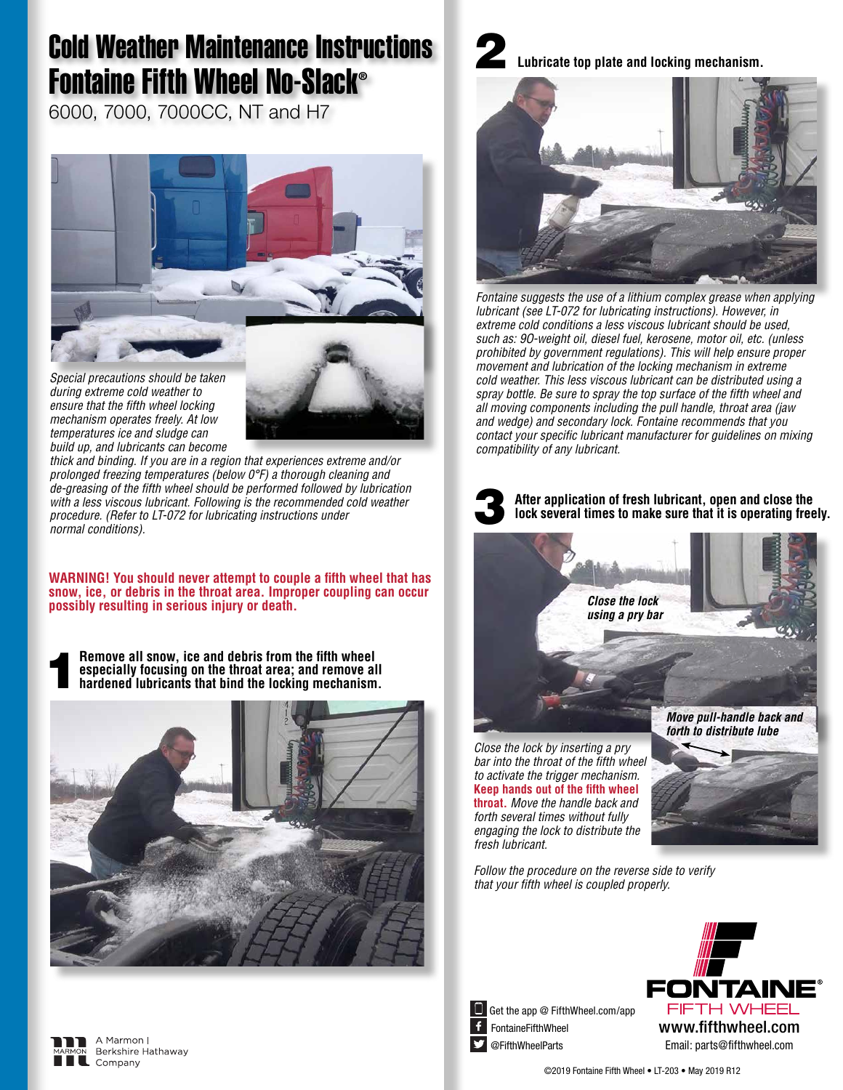## Cold Weather Maintenance Instructions Fontaine Fifth Wheel No-Slack®

6000, 7000, 7000CC, NT and H7



*Special precautions should be taken during extreme cold weather to ensure that the fifth wheel locking mechanism operates freely. At low temperatures ice and sludge can build up, and lubricants can become* 

> A Marmon I Berkshire Hathaway

Company



*thick and binding. If you are in a region that experiences extreme and/or prolonged freezing temperatures (below 0°F) a thorough cleaning and de-greasing of the fifth wheel should be performed followed by lubrication with a less viscous lubricant. Following is the recommended cold weather procedure. (Refer to LT-072 for lubricating instructions under normal conditions).*

**WARNING! You should never attempt to couple a fifth wheel that has snow, ice, or debris in the throat area. Improper coupling can occur possibly resulting in serious injury or death.**

**Hemove all snow, ice and debris from the fifth wheel especially focusing on the throat area; and remove all hardened lubricants that bind the locking mechanism. especially focusing on the throat area; and remove all** 







*Fontaine suggests the use of a lithium complex grease when applying lubricant (see LT-072 for lubricating instructions). However, in extreme cold conditions a less viscous lubricant should be used, such as: 9O-weight oil, diesel fuel, kerosene, motor oil, etc. (unless prohibited by government regulations). This will help ensure proper movement and lubrication of the locking mechanism in extreme cold weather. This less viscous lubricant can be distributed using a spray bottle. Be sure to spray the top surface of the fifth wheel and all moving components including the pull handle, throat area (jaw and wedge) and secondary lock. Fontaine recommends that you contact your specific lubricant manufacturer for guidelines on mixing compatibility of any lubricant.*



**After application of fresh lubricant, open and close the lock several times to make sure that it is operating freely.**



*Close the lock by inserting a pry bar into the throat of the fifth wheel to activate the trigger mechanism.*  **Keep hands out of the fifth wheel throat.** *Move the handle back and forth several times without fully engaging the lock to distribute the fresh lubricant.*

*Follow the procedure on the reverse side to verify that your fifth wheel is coupled properly.*





FontaineFifthWheel @FifthWheelParts **Get the app @ FifthWheel.com/app**